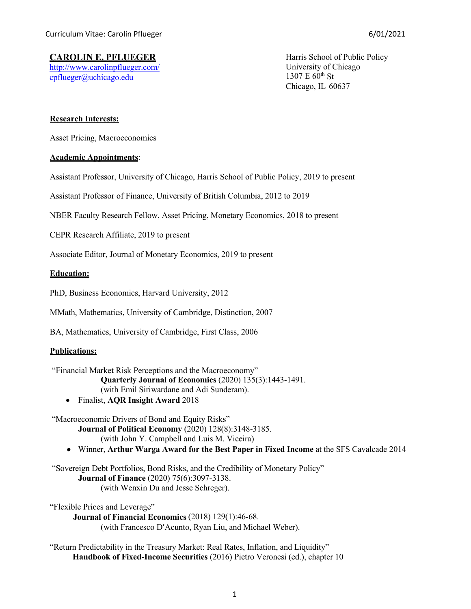# **CAROLIN E. PFLUEGER**

<http://www.carolinpflueger.com/> [cpflueger@uchicago.edu](mailto:cpflueger@uchicago.edu)

Harris School of Public Policy University of Chicago  $1307 E 60^{th}$  St Chicago, IL 60637

# **Research Interests:**

Asset Pricing, Macroeconomics

# **Academic Appointments**:

Assistant Professor, University of Chicago, Harris School of Public Policy, 2019 to present

Assistant Professor of Finance, University of British Columbia, 2012 to 2019

NBER Faculty Research Fellow, Asset Pricing, Monetary Economics, 2018 to present

CEPR Research Affiliate, 2019 to present

Associate Editor, Journal of Monetary Economics, 2019 to present

# **Education:**

PhD, Business Economics, Harvard University, 2012

MMath, Mathematics, University of Cambridge, Distinction, 2007

BA, Mathematics, University of Cambridge, First Class, 2006

# **Publications:**

"Financial Market Risk Perceptions and the Macroeconomy" **Quarterly Journal of Economics** (2020) 135(3):1443-1491. (with Emil Siriwardane and Adi Sunderam).

• Finalist, **AQR Insight Award** 2018

"Macroeconomic Drivers of Bond and Equity Risks"

**Journal of Political Economy** (2020) 128(8):3148-3185. (with John Y. Campbell and Luis M. Viceira)

• Winner, **Arthur Warga Award for the Best Paper in Fixed Income** at the SFS Cavalcade 2014

["Sovereign Debt Portfolios, Bond Risks, and the Credibility of Monetary Policy"](http://www.carolinpflueger.com/DuPfluegerSchreger20160821.pdf) **Journal of Finance** (2020) 75(6):3097-3138. (with Wenxin Du and Jesse Schreger).

["Flexible Prices and Leverage"](http://www.carolinpflueger.com/StickyPricesLeverage_05012016.pdf) **Journal of Financial Economics** (2018) 129(1):46-68. (with Francesco D'Acunto, Ryan Liu, and Michael Weber).

"Return Predictability in the Treasury Market: Real Rates, Inflation, and Liquidity" **Handbook of Fixed-Income Securities** (2016) Pietro Veronesi (ed.), chapter 10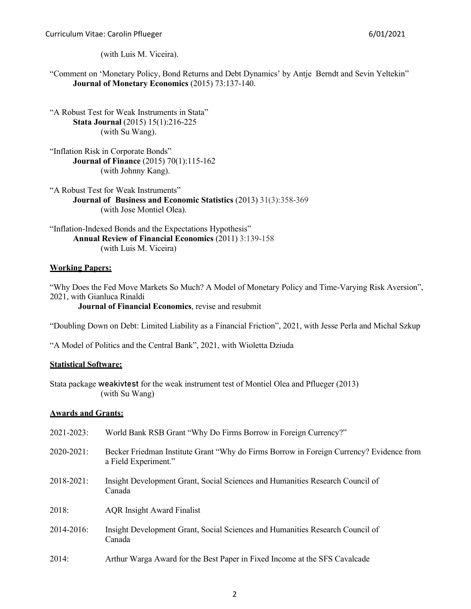Curriculum Vitae: Carolin Pflueger 6/01/2021

(with Luis M. Viceira).

"Comment on 'Monetary Policy, Bond Returns and Debt Dynamics' by Antje Berndt and Sevin Yeltekin" **Journal of Monetary Economics** (2015) 73:137-140.

"A Robust Test for Weak Instruments in Stata" **Stata Journal** (2015) 15(1):216-225 (with Su Wang).

"Inflation Risk in Corporate Bonds" **Journal of Finance** (2015) 70(1):115-162 (with Johnny Kang).

"A Robust Test for Weak Instruments" **Journal of Business and Economic Statistics** (2013) 31(3):358-369 (with Jose Montiel Olea).

"Inflation-Indexed Bonds and the Expectations Hypothesis" **Annual Review of Financial Economics** (2011) 3:139-158 (with Luis M. Viceira)

# **Working Papers:**

"Why Does the Fed Move Markets So Much? A Model of Monetary Policy and Time-Varying Risk Aversion", 2021, with Gianluca Rinaldi **Journal of Financial Economics**, revise and resubmit

["Doubling Down on Debt: Limited Liability as a Financial Friction"](https://www.carolinpflueger.com/perla_pflueger_szkup_20200824.pdf), 2021, with Jesse Perla and Michal Szkup

["A Model of Politics and the Central Bank"](https://www.carolinpflueger.com/DziudaPfluegerPoliticalFed_20200723.pdf), 2021, with Wioletta Dziuda

# **Statistical Software:**

Stata package weakivtest for the weak instrument test of Montiel Olea and Pflueger (2013) (with Su Wang)

# **Awards and Grants:**

| 2021-2023: | World Bank RSB Grant "Why Do Firms Borrow in Foreign Currency?"                                                 |
|------------|-----------------------------------------------------------------------------------------------------------------|
| 2020-2021: | Becker Friedman Institute Grant "Why do Firms Borrow in Foreign Currency? Evidence from<br>a Field Experiment." |
| 2018-2021: | Insight Development Grant, Social Sciences and Humanities Research Council of<br>Canada                         |
| 2018:      | <b>AQR</b> Insight Award Finalist                                                                               |
| 2014-2016: | Insight Development Grant, Social Sciences and Humanities Research Council of<br>Canada                         |
| 2014:      | Arthur Warga Award for the Best Paper in Fixed Income at the SFS Cavalcade                                      |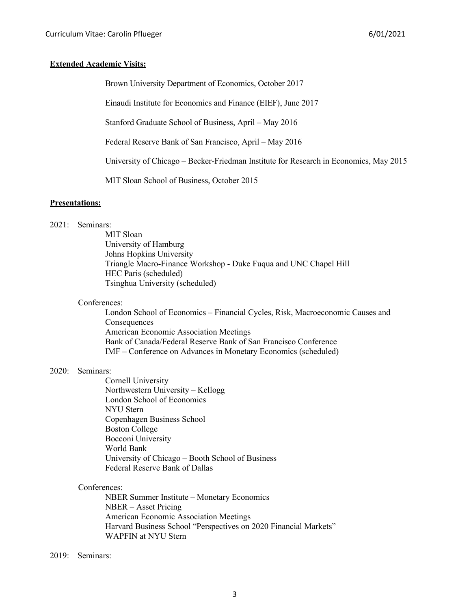# **Extended Academic Visits:**

Brown University Department of Economics, October 2017

Einaudi Institute for Economics and Finance (EIEF), June 2017

Stanford Graduate School of Business, April – May 2016

Federal Reserve Bank of San Francisco, April – May 2016

University of Chicago – Becker-Friedman Institute for Research in Economics, May 2015

MIT Sloan School of Business, October 2015

# **Presentations:**

#### 2021: Seminars:

MIT Sloan University of Hamburg Johns Hopkins University Triangle Macro-Finance Workshop - Duke Fuqua and UNC Chapel Hill HEC Paris (scheduled) Tsinghua University (scheduled)

### Conferences:

London School of Economics – Financial Cycles, Risk, Macroeconomic Causes and Consequences American Economic Association Meetings Bank of Canada/Federal Reserve Bank of San Francisco Conference IMF – Conference on Advances in Monetary Economics (scheduled)

#### 2020: Seminars:

Cornell University Northwestern University – Kellogg London School of Economics NYU Stern Copenhagen Business School Boston College Bocconi University World Bank University of Chicago – Booth School of Business Federal Reserve Bank of Dallas

### Conferences:

NBER Summer Institute – Monetary Economics NBER – Asset Pricing American Economic Association Meetings Harvard Business School "Perspectives on 2020 Financial Markets" WAPFIN at NYU Stern

### 2019: Seminars: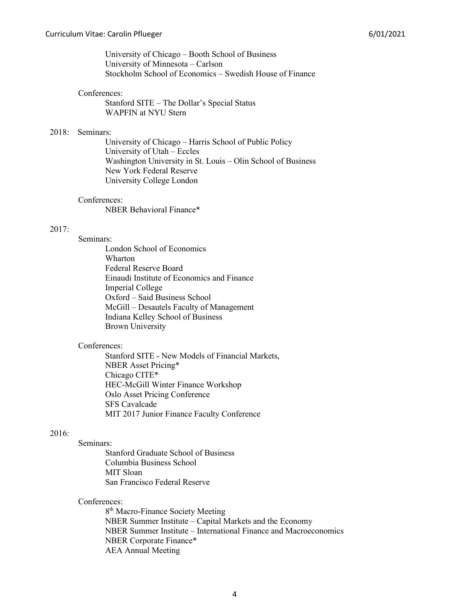University of Chicago – Booth School of Business University of Minnesota – Carlson Stockholm School of Economics – Swedish House of Finance

### Conferences:

Stanford SITE – The Dollar's Special Status WAPFIN at NYU Stern

### 2018: Seminars:

University of Chicago – Harris School of Public Policy University of Utah – Eccles Washington University in St. Louis – Olin School of Business New York Federal Reserve University College London

### Conferences:

NBER Behavioral Finance\*

# 2017:

Seminars: London School of Economics Wharton Federal Reserve Board Einaudi Institute of Economics and Finance Imperial College Oxford – Said Business School McGill – [Desautels Faculty of Management](https://www.mcgill.ca/desautels/) Indiana Kelley School of Business Brown University

### Conferences:

Stanford SITE - New Models of Financial Markets, NBER Asset Pricing\* Chicago CITE\* HEC-McGill Winter Finance Workshop Oslo Asset Pricing Conference SFS Cavalcade MIT 2017 Junior Finance Faculty Conference

# 2016:

### Seminars:

Stanford Graduate School of Business Columbia Business School MIT Sloan San Francisco Federal Reserve

### Conferences:

8th Macro-Finance Society Meeting NBER Summer Institute – Capital Markets and the Economy NBER Summer Institute – International Finance and Macroeconomics NBER Corporate Finance\* AEA Annual Meeting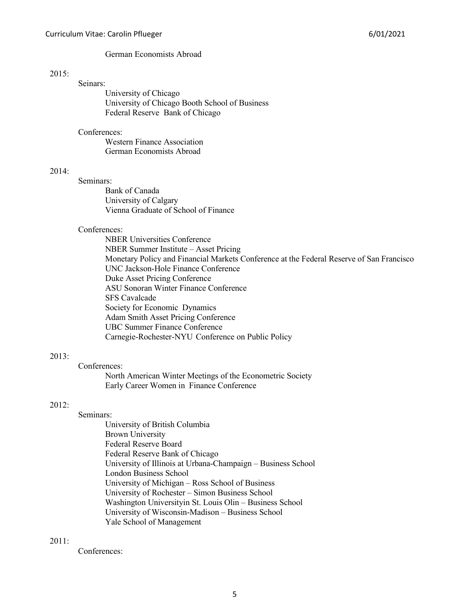### German Economists Abroad

## $2015:$

### Seinars:

University of Chicago University of Chicago Booth School of Business Federal Reserve Bank of Chicago

### Conferences:

Western Finance Association German Economists Abroad

# $2014:$

Seminars:

Bank of Canada University of Calgary Vienna Graduate of School of Finance

### Conferences:

NBER Universities Conference NBER Summer Institute – Asset Pricing Monetary Policy and Financial Markets Conference at the Federal Reserve of San Francisco UNC Jackson-Hole Finance Conference Duke Asset Pricing Conference ASU Sonoran Winter Finance Conference SFS Cavalcade Society for Economic Dynamics Adam Smith Asset Pricing Conference UBC Summer Finance Conference Carnegie-Rochester-NYU Conference on Public Policy

### 2013:

Conferences: North American Winter Meetings of the Econometric Society Early Career Women in Finance Conference

### 2012:

### Seminars:

University of British Columbia Brown University Federal Reserve Board Federal Reserve Bank of Chicago University of Illinois at Urbana-Champaign – Business School London Business School University of Michigan – Ross School of Business University of Rochester – Simon Business School Washington Universityin St. Louis Olin – Business School University of Wisconsin-Madison – Business School Yale School of Management

# $2011:$

Conferences: